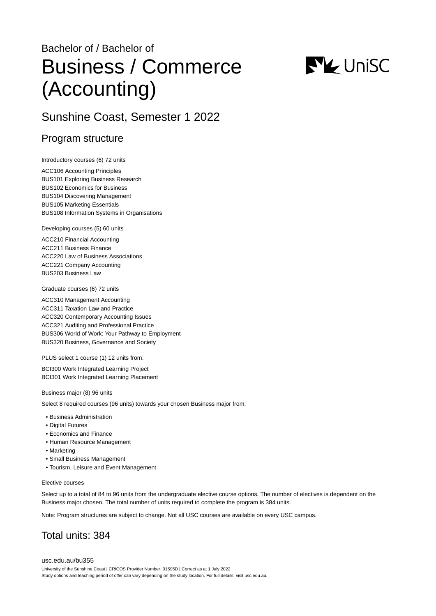# Bachelor of / Bachelor of Business / Commerce (Accounting)



# Sunshine Coast, Semester 1 2022

## Program structure

Introductory courses (6) 72 units

ACC106 Accounting Principles BUS101 Exploring Business Research BUS102 Economics for Business BUS104 Discovering Management BUS105 Marketing Essentials BUS108 Information Systems in Organisations

Developing courses (5) 60 units

ACC210 Financial Accounting ACC211 Business Finance ACC220 Law of Business Associations ACC221 Company Accounting BUS203 Business Law

Graduate courses (6) 72 units

ACC310 Management Accounting ACC311 Taxation Law and Practice ACC320 Contemporary Accounting Issues ACC321 Auditing and Professional Practice BUS306 World of Work: Your Pathway to Employment BUS320 Business, Governance and Society

PLUS select 1 course (1) 12 units from:

BCI300 Work Integrated Learning Project BCI301 Work Integrated Learning Placement

Business major (8) 96 units

Select 8 required courses (96 units) towards your chosen Business major from:

- Business Administration
- Digital Futures
- Economics and Finance
- Human Resource Management
- Marketing
- Small Business Management
- Tourism, Leisure and Event Management

#### Elective courses

Select up to a total of 84 to 96 units from the undergraduate elective course options. The number of electives is dependent on the Business major chosen. The total number of units required to complete the program is 384 units.

Note: Program structures are subject to change. Not all USC courses are available on every USC campus.

# Total units: 384

[usc.edu.au/bu355](https://www.usc.edu.au/bu355) University of the Sunshine Coast | CRICOS Provider Number: 01595D | Correct as at 1 July 2022 Study options and teaching period of offer can vary depending on the study location. For full details, visit usc.edu.au.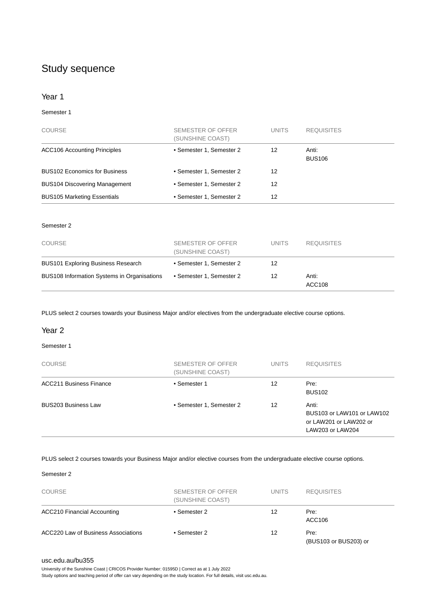# Study sequence

#### Year 1

#### Semester 1

| <b>COURSE</b>                        | SEMESTER OF OFFER<br>(SUNSHINE COAST) | <b>UNITS</b> | <b>REQUISITES</b>      |
|--------------------------------------|---------------------------------------|--------------|------------------------|
| <b>ACC106 Accounting Principles</b>  | • Semester 1, Semester 2              | 12           | Anti:<br><b>BUS106</b> |
| <b>BUS102 Economics for Business</b> | • Semester 1, Semester 2              | 12           |                        |
| <b>BUS104 Discovering Management</b> | • Semester 1, Semester 2              | 12           |                        |
| <b>BUS105 Marketing Essentials</b>   | • Semester 1, Semester 2              | 12           |                        |

#### Semester 2

| <b>COURSE</b>                               | SEMESTER OF OFFER<br>(SUNSHINE COAST) | <b>UNITS</b> | <b>REQUISITES</b> |
|---------------------------------------------|---------------------------------------|--------------|-------------------|
| <b>BUS101 Exploring Business Research</b>   | • Semester 1, Semester 2              | 12           |                   |
| BUS108 Information Systems in Organisations | • Semester 1, Semester 2              | 12           | Anti:<br>ACC108   |

PLUS select 2 courses towards your Business Major and/or electives from the undergraduate elective course options.

#### Year 2

#### Semester 1

| <b>COURSE</b>                  | SEMESTER OF OFFER<br>(SUNSHINE COAST) | <b>UNITS</b> | <b>REQUISITES</b>                                                                 |
|--------------------------------|---------------------------------------|--------------|-----------------------------------------------------------------------------------|
| <b>ACC211 Business Finance</b> | • Semester 1                          | 12           | Pre:<br><b>BUS102</b>                                                             |
| <b>BUS203 Business Law</b>     | • Semester 1, Semester 2              | 12           | Anti:<br>BUS103 or LAW101 or LAW102<br>or LAW201 or LAW202 or<br>LAW203 or LAW204 |

#### PLUS select 2 courses towards your Business Major and/or elective courses from the undergraduate elective course options.

#### Semester 2

| <b>COURSE</b>                       | SEMESTER OF OFFER<br>(SUNSHINE COAST) | <b>UNITS</b> | <b>REQUISITES</b>             |
|-------------------------------------|---------------------------------------|--------------|-------------------------------|
| <b>ACC210 Financial Accounting</b>  | • Semester 2                          | 12           | Pre:<br>ACC106                |
| ACC220 Law of Business Associations | • Semester 2                          | 12           | Pre:<br>(BUS103 or BUS203) or |

#### [usc.edu.au/bu355](https://www.usc.edu.au/bu355)

University of the Sunshine Coast | CRICOS Provider Number: 01595D | Correct as at 1 July 2022 Study options and teaching period of offer can vary depending on the study location. For full details, visit usc.edu.au.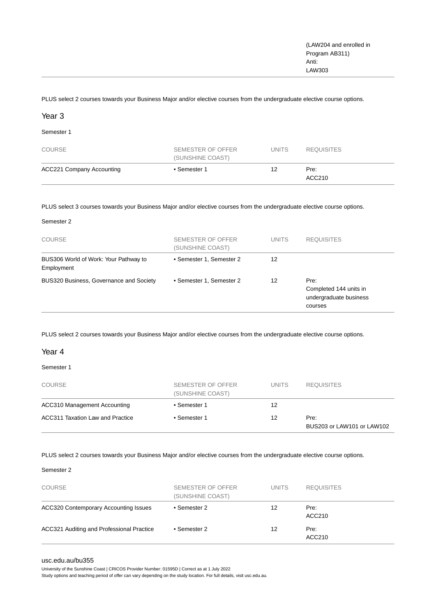PLUS select 2 courses towards your Business Major and/or elective courses from the undergraduate elective course options.

#### Year 3

Semester 1

| <b>COURSE</b>                    | SEMESTER OF OFFER<br>(SUNSHINE COAST) | <b>UNITS</b> | <b>REQUISITES</b> |
|----------------------------------|---------------------------------------|--------------|-------------------|
| <b>ACC221 Company Accounting</b> | • Semester 1                          | 12           | Pre:<br>ACC210    |

PLUS select 3 courses towards your Business Major and/or elective courses from the undergraduate elective course options.

| <b>COURSE</b>                                       | SEMESTER OF OFFER<br>(SUNSHINE COAST) | <b>UNITS</b> | <b>REQUISITES</b>                                                   |
|-----------------------------------------------------|---------------------------------------|--------------|---------------------------------------------------------------------|
| BUS306 World of Work: Your Pathway to<br>Employment | • Semester 1, Semester 2              | 12           |                                                                     |
| BUS320 Business, Governance and Society             | • Semester 1, Semester 2              | 12           | Pre:<br>Completed 144 units in<br>undergraduate business<br>courses |

PLUS select 2 courses towards your Business Major and/or elective courses from the undergraduate elective course options.

#### Year 4

Semester 1

| <b>COURSE</b>                    | SEMESTER OF OFFER<br>(SUNSHINE COAST) | <b>UNITS</b> | <b>REQUISITES</b>                  |
|----------------------------------|---------------------------------------|--------------|------------------------------------|
| ACC310 Management Accounting     | • Semester 1                          | 12           |                                    |
| ACC311 Taxation Law and Practice | • Semester 1                          | 12           | Pre:<br>BUS203 or LAW101 or LAW102 |

PLUS select 2 courses towards your Business Major and/or elective courses from the undergraduate elective course options.

#### Semester 2

| <b>COURSE</b>                                | SEMESTER OF OFFER<br>(SUNSHINE COAST) | <b>UNITS</b> | <b>REQUISITES</b> |
|----------------------------------------------|---------------------------------------|--------------|-------------------|
| <b>ACC320 Contemporary Accounting Issues</b> | • Semester 2                          | 12           | Pre:<br>ACC210    |
| ACC321 Auditing and Professional Practice    | • Semester 2                          | 12           | Pre:<br>ACC210    |

#### [usc.edu.au/bu355](https://www.usc.edu.au/bu355)

University of the Sunshine Coast | CRICOS Provider Number: 01595D | Correct as at 1 July 2022

Study options and teaching period of offer can vary depending on the study location. For full details, visit usc.edu.au.